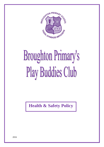

# **Broughton Primary's Play Buddies Club**

**Health & Safety Policy**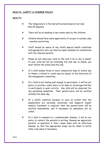# **HEALTH, SAFETY & HYGIENE POLICY**

## **HEALTH**

- The temperature in the hall will be maintained at not less than 65 degrees.
- There will be no smoking in any rooms used by the children.
- Children should have some opportunity of access to outdoor play – weather permitting.
- Staff should be aware of any child's special health conditions and appropriate care can then be made available (in consultation with the relevant parent).
- Please do not send your child to the club if he or she is unwell. If your child will not be attending the club due to illness, you must inform the school and the club.
- If a child misses three or more consecutive days of school due to illness, a refund or credit may be issued, at the discretion of the management committee.
- If a child is not feeling well enough to participate, it will be our policy to provide a quiet place to lie down or encourage him/her to participate in quiet activity. Any child will be observed for any worsening symptoms. Their parent/carer will be notified verbally the same day.
- If a child's condition worsens to such an extent that the playworkers are seriously concerned, and suspects urgent medical treatment is required, then the parent/carer will be notified immediately, and if necessary an ambulance will be called.
- If a child is exposed to a communicable disease, it will be our policy to contact the parents in writing; likewise we appreciate parents' co-operation if their comes down with an infectious disease, so that the appropriate steps can be taken to notify other club users if necessary.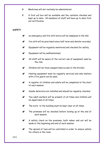- Medicines will not routinely be administered.
- A first aid box will be available and the contents checked and kept up to date. All members of staff will have up to date first aid certificates.

#### **SAFETY**

- $\bullet^*$  an emergency and fire drill notice will be displayed in the hall.
- $\bullet^*$  fire drill will be practised every half term and details recorded.
- $\mathbb{S}^*$  Equipment will be regularly monitored and checked for safety.
- $\bullet^*$  Equipment will be wellmaintained.
- $\bullet^*$  All staff will be aware of the correct use of equipment used by the club.
- $\mathbb{S}^*$  Children will not have unsupervised access to the kitchen.
- $\bullet^*$  Heating equipment must be regularly serviced and only heaters with a fire guard can be used.
- $\bullet^*$  A register of children and adults will be completed at the start of each session.
- Smoke detectors are installed and should be regularly checked.
- $\mathbf{S}^*$  Two adult workers will be present at all times and children will be supervised at all times.
- $\bullet^*$  The exits to the building must be kept clear at all times.
- $\bullet^*$  The premises will be checked before locking up at the end of each session.
- $\bullet^*$  A safety check on the premises, both indoor and out will be made at the beginning and end of each session.
- $\bullet^*$  The spread of toys will be controlled in order to ensure safety for others in the room.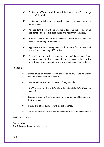- $\bullet^*$  Equipment offered to children will be appropriate for the age of the child.
- $\bullet^*$  Equipment available will be used according to manufacturer's instructions.
- $\mathbb{S}^*$  An accident book will be available for the reporting of all accidents. The book is kept inside the registration folder.
- $\bullet^*$  Electrical points will be kept covered. When in use leads and wires will be adequately guarded.
- $\mathbf{\hat{s}}^*$  Appropriate safety arrangements will be made for children with disabilities or learning difficulties.
- $\bullet^*$  A staff member will be appointed as safety officer / coordinator and will be responsible for bringing policy to the attention of everyone and for monitoring all aspects of safety.

# **HYGIENE**

- Hands must be washed after using the toilet. Running water, soap and towels will be available.
- tissues will be used and disposed of hygienically.
- Staff are aware of how infections, including HIV infections, are transmitted.
- Rubber gloves will be available for clearing up after spills of bodily fluids.
- Floors and other surfaces will be disinfected.
- Spare laundered clothes will be available in case of emergencies.

#### **FIRE DRILL POLICY**

#### **Fire Routine**

The following should be adhered to: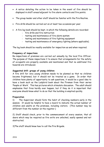- A notice detailing the action to be taken in the event of fire should be displayed in staff areas/adjacent to fire alarm contacts and fire points.
- The group leader and other staff should be familiar with the Fire Routine.
- Fire drills should be carried out on at least two occasions per year.
- A fire log book should be kept, in which the following details are recorded:
	- fire drills and fire instruction
	- testing and maintenance of fire alarm system
	- testing and maintenance of fire fighting equipment
	- testing and maintenance of emergency lighting (where applicable).

The log book should be readily available for inspection as and when required.

#### **Frequency of inspections**

Re-inspections of premises are carried out annually by the local Fire Officer. The purpose of these inspections it to ensure that arrangements for the safety of occupants are properly available and maintained and that no additional fire hazards are introduced.

#### **Suggested drill: groups of young children**

A fire drill for very young children needs to be planned so that no children become frightened, but it should not be treated as a game. In order that children have plenty of opportunity to ask questions, it would be a good idea to have a book such as the Ladybird book about the Fireman from their series 'People at Work'. This has pictures which stimulate discussion. The adult should emphasise that fires hardly ever happen, but if they do it is important that everyone should know what to do so that the building is emptied quickly.

#### **Preparation**

1) The Supervisor should form the habit of checking numbers early in the session. It would be helpful to have a board to indicate the actual number of children and adults on the premises, including visitors. (This number may be different from the number on the register.)

2) Staff should check, prior to the commencement of every session, that all doors which may be required as fire exits are unlocked, easily opened and not obstructed.

3)The staff should know how to call the Fire Brigade.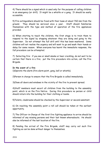4) There should be a signal which is used only for the purpose of calling children in an emergency (or drill). It might be a whistle or a gong. It should be easily accessible.

5) Fire extinguishers should be fixed with their base at about 760 mm from the ground. They should be serviced once a year. Staff should familiarise themselves with the type and method of operation of the fire appliances provided.

6) When starting to teach the children, the first stage is to train them to respond to the signal by stopping whatever they are doing and going to the Supervisor. Do not attempt the full drill until this has been mastered. Some children will not realise the urgency and will want to go and wash their hands or delay for some reason. When everyone has learnt the immediate response, the full procedure can be attempted.

7) Detecting fire: if you see or smell smoke or hear crackling, do not wait to be certain that there is a fire; put the fire procedure into action, call the Fire Brigade.

#### **In the event of a fire**

1)Operate the alarm (fire alarm point, gong, bell or whistle).

2)Person in charge to ensure that the Fire Brigade is called immediately.

3)Close all doors and windows in the vicinity of the fire to prevent spread.

4)Staff members must escort all children from the building to the assembly point, which is on the Fire Notice. During this procedure no person or child should return into the building for their clothing or books.

5)Toilets, cloakrooms should be checked by the Supervisor or second assistant.

6) On reaching the assembly point a roll call should be taken at the earliest opportunity.

7) The Officer-in-Charge of the first fire fighting appliance to arrive should be informed of any missing persons and their last known whereabouts. He should also be informed of the last location of the fire.

8) Pending the arrival of the Fire Brigade, staff may carry out such fire fighting as can be done without danger to themselves.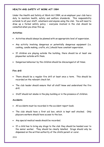#### **HEALTH AND SAFETY AT WORK ACT 1984**

Under the Health and Safety at Work Act 1984, as an employer your club has a duty to maintain health, safety and welfare standards. This responsibility extends to all your staff, volunteers and anyone using the club. You will need to draw up a formal safety policy – everyone involved in the club should be consulted when you draw this up.

#### **Activities**

- Activities should always be planned with an appropriate level of supervision.
- Any activity involving dangerous or potentially dangerous equipment (i.e. cooking, candle making, crafts, etc.) should have constant supervision.
- If children are playing outside the building, there should be at least one playworker outside with them.
- Dangerous behaviour by the children should be discouraged at all times.

#### **Fire drill**

- There should be a regular fire drill at least once a term. This should be recorded on the relevant check list.
- The club leader should ensure that all staff know and understand the fire drill.
- Staff should not smoke in the play building or in the presence of children.

#### **Accidents**

- All accidents must be recorded in the accident report book.
- The club should have a first aid box, which is kept well stocked. Only playcare workers should have access to the box.
- Any special medical needs should be recorded.
- If a child has to bring any drugs to the club they should be handed over to the senior worker. They should be clearly labelled. Drugs should only be dispensed on the written authority of the child's parent or carer.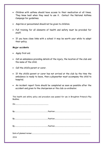- Children with asthma should have access to their medication at all times. They know best when they need to use it. Contact the National Asthma Campaign for guidelines.
- Aspirins or paracetamol should not be given to children.
- Full training for all elements of health and safety must be provided for staff.
- If you have close links with a school it may be worth your while to adopt their policy.

#### **Major accidents**

- Apply first aid.
- Call an ambulance providing details of the injury, the location of the club and the name of the child.
- Call the child's parent or carer.

On:............................................................................

- If the child's parent or carer has not arrived at the club by the time the ambulance is ready to leave, then a playworker must accompany the child to hospital.
- An incident report form should be completed as soon as possible after the accident and given to the chairperson or the club co-ordinator.

This health and safety policy and procedure was passed for use in Broughton Primary's Play Buddies.

| 2016 |  |
|------|--|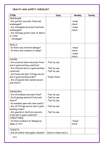# **HEALTH AND SAFETY CHECKLIST**

| <b>ITEM</b>                                       | Daily                 | Weekly  | Termly |
|---------------------------------------------------|-----------------------|---------|--------|
| <b>DRAINAGE</b>                                   |                       |         |        |
| -Are gutters securely fixed and                   |                       | -visual |        |
| undamaged?                                        |                       | check   |        |
| -Are drainpipes securely fixed and                |                       | -visual |        |
| undamaged?                                        |                       | check   |        |
| -Are drainage points clear of debris              |                       |         |        |
| or other                                          |                       |         |        |
| blockages?                                        |                       |         |        |
| WALLS                                             |                       |         |        |
| -Is there any external damage?                    |                       | -visual |        |
| -Is there any evidence of damp?                   |                       | check   |        |
|                                                   |                       | -visual |        |
|                                                   |                       | check   |        |
| <b>DOORS</b>                                      |                       |         |        |
| -Are external doors securely fixed                | -Test by use.         |         |        |
| and in good working condition?                    |                       |         |        |
| -Are internal doors in good working               | -Test by use.         |         |        |
| condition?                                        | -Test by use.         |         |        |
| -Are locks and door fittings secure               |                       |         |        |
| and in good working order?                        | -Visual check.        |         |        |
| -Are all glazed door panels secure                |                       |         |        |
| and intact?                                       |                       |         |        |
|                                                   |                       |         |        |
|                                                   |                       |         |        |
| <b>WINDOWS</b>                                    |                       |         |        |
| -Are all windows securely fixed?                  | -Test by use.         |         |        |
| -Is all glazing material fixed and                | -Test by use.         |         |        |
| intact?                                           | -Test by use.         |         |        |
| -Do windows open and close easily?                |                       |         |        |
| -Are all fittings secure and in good              | -Test by use.         |         |        |
| working order?                                    |                       |         |        |
| -Are guards or shutters securely                  | -Test by use.         |         |        |
| fixed and in good condition?<br><b>STRUCTURAL</b> |                       |         |        |
|                                                   |                       | -Visual |        |
| -Is there evidence of damage by<br>damp or rot?   |                       | check.  |        |
|                                                   |                       |         |        |
| <b>TOILETS</b>                                    |                       |         |        |
| -Are all toilets thoroughly cleaned?              | Check at least once a |         |        |
| 2016                                              |                       |         |        |